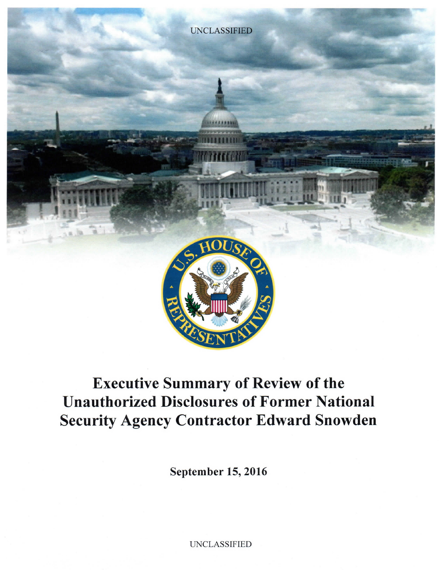

# Executive Summary of Review of the Unauthorized Disclosures of Former National Security Agency Contractor Edward Snowden

September 15, 2016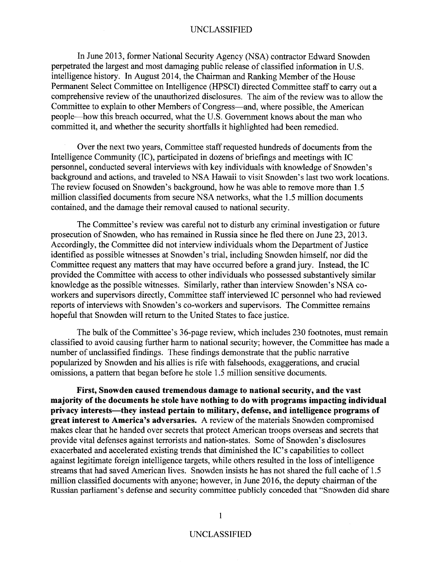#### INCLASSIFIED

In June 2013, fiormer National Security Agency O\TSA) contractor Edward Snowden perpetrated the largest and most damaging public release of classified information in U.S. intelligence history. In August 2014, the Chairman and Ranking Member of the House Permanent Select Committee on Intelligence (HPSCI) directed Committee staff to carry out a comprehensive review of the unauthorized disclosures. The aim of the review was to allow the Committee to explain to other Members of Congress—and, where possible, the American people—how this breach occurred, what the U.S. Government knows about the man who committed it, and whether the security shortfalls it highlighted had been remedied.

Over the next two years, Committee staff requested hundreds of documents from the Intelligence Community (IC), participated in dozens of briefings and meetings with IC personnel, conducted several interviews with key individuals with knowledge of Snowden's background and actions, and traveled to NSA Hawaii to visit Snowden's last two work locations. The review focused on Snowden's background, how he was able to remove more than 1.5 million classifled documents from secure NSA networks, what the 1.5 million documents contained, and the damage their removal caused to national security.

The Committee's review was careful not to disturb any criminal investigation or future prosecution of Snowden, who has remained in Russia since he fled there on June 23, 2013. Accordingly, the Committee did not interview individuals whom the Department of Justice identified as possible witnesses at Snowden's trial, including Snowden himself, nor did the Committee request any matters that may have occurred before a grand jury. Instead, the IC provided the Committee with access to other individuals who possessed substantively similar knowledge as the possible witnesses. Similarly, rather than interview Snowden's NSA coworkers and supervisors directly, Committee staffinterviewed IC personnel who had reviewed reports of interviews with Snowden's co-workers and supervisors. The Committee remains hopeful that Snowden will return to the United States to face justice.

The bulk of the Committee's 36-page review, which includes 230 footnotes, must remain classified to avoid causing further harm to national security; however, the Committee has made a number of unclassified findings. These findings demonstrate that the public narrative popularized by Snowden and his allies is rife with falsehoods, exaggerations, and crucial omissions, a pattem that began befiore he stole 1.5 million sensitive documents.

First, Snowden caused tremendous damage to national security, and the vast majority of the documents he stole have nothing to do with programs impacting individual privacy interests—they instead pertain to military, defense, and intelligence programs of great interest to America's adversaries. A review of the materials Snowden compromised makes clear that he handed over secrets that protect American troops overseas and secrets that provide vital defenses against terrorists and nation-states. Some of Snowden's disclosures exacerbated and accelerated existing trends that diminished the IC's capabilities to collect against legitimate foreign intelligence targets, while others resulted in the loss of intelligence streams that had saved American lives. Snowden insists he has not shared the full cache of 1.5 million classified documents with anyone; however, in June 2016, the deputy chairman of the Russian parliament's defense and security committee publicly conceded that "Snowden did share

1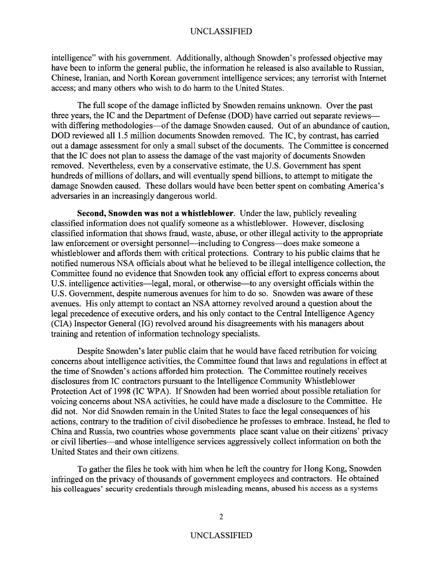## ENCLASSIFIED

intelligence" with his govemment. Additionally, although Snowden's professed objective may have been to inform the general public, the information he released is also available to Russian, Chinese, Iranian, and North Korean govemment intelligence services; any terrorist with Intemet access; and many others who wish to do harm to the United States.

The full scope of the damage inflicted by Snowden remains unknown. Over the past three years, the IC and the Department of Defense (DOD) have carried out separate reviewswith differing methodologies—of the damage Snowden caused. Out of an abundance of caution, DOD reviewed all 1.5 million documents Snowden removed. The IC, by contrast, has carried out a damage assessment for only a small subset of the documents. The Committee is concerned that the IC does not plan to assess the damage of the vast majority of documents Snowden removed. Nevertheless, even by a conservative estimate, the U.S. Govemment has spent hundreds of millions of dollars, and will eventually spend billions, to attempt to mitigate the damage Snowden caused. These dollars would have been better spent on combating America's adversaries in an increasingly dangerous world.

Second, Snowden was not a whistleblower. Under the law, publicly revealing classifled information does not qualify someone as a whistleblower. However, disclosing classified information that shows fraud, waste, abuse, or other illegal activity to the appropriate law enforcement or oversight personnel-including to Congress-does make someone a whistleblower and affords them with critical protections. Contrary to his public claims that he notified numerous NSA officials about what he believed to be illegal intelligence collection, the Committee found no evidence that Snowden took any official effort to express concerns about U.S. intelligence activities—legal, moral, or otherwise—to any oversight officials within the U.S. Government, despite numerous avenues for him to do so. Snowden was aware of these avenues. His only attempt to contact an NSA attomey revolved around a question about the legal precedence of executive orders, and his only contact to the Central Intelligence Agency (CIA) Inspector General (IG) revolved around his disagreements with his managers about training and retention of information technology specialists.

Despite Snowden's later public claim that he would have faced retribution for voicing concems about intelligence activities, the Committee found that laws and regulations in effect at the time of Snowden's actions afforded him protection. The Committee routinely receives disclosures from IC contractors pursuant to the Intelligence Community Whistleblower Protection Act of 1998 (IC WPA). If Snowden had been worried about possible retaliation for voicing concems about NSA activities, he could have made a disclosure to the Committee. He did not. Nor did Snowden remain in the United States to face the legal consequences of his actions, contrary to the tradition of civil disobedience he professes to embrace. Instead, he fled to China and Russia, two countries whose govemments place scant value on their citizens' privacy or civil liberties-and whose intelligence services aggressively collect information on both the United States and their own citizens.

To gather the files he took with him when he left the country for Hong Kong, Snowden infringed on the privacy of thousands of government employees and contractors. He obtained his colleagues' security credentials through misleading means, abused his access as a systems